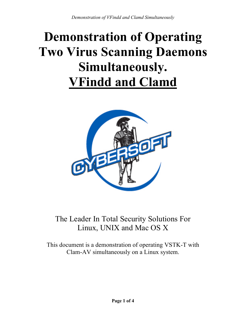# **Demonstration of Operating Two Virus Scanning Daemons Simultaneously. VFindd and Clamd**



# The Leader In Total Security Solutions For Linux, UNIX and Mac OS X

This document is a demonstration of operating VSTK-T with Clam-AV simultaneously on a Linux system.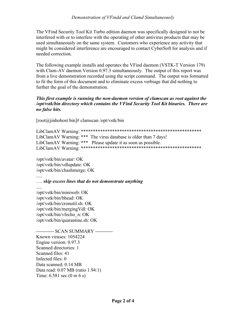The VFind Security Tool Kit Turbo edition daemon was specifically designed to not be interfered with or to interfere with the operating of other antivirus products that may be used simultaneously on the same system. Customers who experience any activity that might be considered interference are encouraged to contact CyberSoft for analysis and if needed correction.

The following example installs and operates the VFind daemon (VSTK-T Version 179) with Clam-AV daemon Version 0.97.3 simultaneously. The output of this report was from a live demonstration recorded using the script command. The output was formatted to fit the form of this document and to eliminate excess verbiage that did nothing to further the goal of the demonstration.

#### This first example is running the non-daemon version of clamscan as root against the /opt/vstk/bin directory which contains the VFind Security Tool Kit binaries. There are no false hits.

 $[root@jinhohost bin]$ # clamscan /opt/vstk/bin

LibClamAV Warning: \*\*\* The virus database is older than 7 days! LibClamAV Warning: \*\*\* Please update it as soon as possible. 

/opt/vstk/bin/avatar: OK /opt/vstk/bin/vdlupdate: OK /opt/vstk/bin/chashmerge: OK

... skip excess lines that do not demonstrate anything

/opt/vstk/bin/miniweb: OK /opt/vstk/bin/bhead: OK /opt/vstk/bin/cronutil.sh: OK /opt/vstk/bin/mergingVdl: OK /opt/vstk/bin/vfecho n: OK /opt/vstk/bin/quarantine.sh: OK

---------- SCAN SUMMARY -----------Known viruses: 1054224 Engine version: 0.97.3 Scanned directories: 1 Scanned files: 41 Infected files: 0 Data scanned: 0.14 MB Data read: 0.07 MB (ratio 1.94:1) Time:  $6.581 \text{ sec } (0 \text{ m } 6 \text{ s})$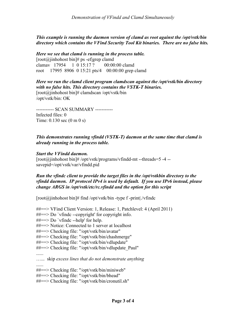*This example is running the daemon version of clamd as root against the /opt/vstk/bin directory which contains the VFind Security Tool Kit binaries. There are no false hits.*

*Here we see that clamd is running in the process table.*  $[root@jinhohost bin]$ # ps -ef|grep clamd

clamav 17954 1 0 15:17 ? 00:00:00 clamd root 17995 8906 0 15:21 pts/4 00:00:00 grep clamd

*Here we run the clamd client program clamdscan against the /opt/vstk/bin directory with no false hits. This directory contains the VSTK-T binaries.* [root@jinhohost bin]# clamdscan /opt/vstk/bin /opt/vstk/bin: OK

----------- SCAN SUMMARY ----------- Infected files: 0 Time: 0.130 sec (0 m 0 s)

# *This demonstrates running vfindd (VSTK-T) daemon at the same time that clamd is already running in the process table.*

## *Start the VFindd daemon.*

[root@jinhohost bin]# /opt/vstk/programs/vfindd-mt --threads=5 -4 - savepid=/opt/vstk/var/vfindd.pid

## *Run the vfindc client to provide the target files in the /opt/vstkbin directory to the vfindd daemon. IP protocol IPv4 is used by default. If you use IPv6 instead, please change ARGS in /opt/vstk/etc/rc.vfindd and the option for this script*

 $[root@jinhohost bin]$ # find /opt/vstk/bin -type f -print|./vfindc

##==> VFind Client Version: 1, Release: 1, Patchlevel: 4 (April 2011)

- ##==> Do `vfindc --copyright' for copyright info.
- $\# \# == > Do \check{v} \in \ell$  --help' for help.
- ##==> Notice: Connected to 1 server at localhost
- ##==> Checking file: "/opt/vstk/bin/avatar"
- ##==> Checking file: "/opt/vstk/bin/chashmerge"
- ##==> Checking file: "/opt/vstk/bin/vdlupdate"
- ##==> Checking file: "/opt/vstk/bin/vdlupdate Paul"

......

…... skip *excess lines that do not demonstrate anything*

......

- ##==> Checking file: "/opt/vstk/bin/miniweb"
- ##==> Checking file: "/opt/vstk/bin/bhead"
- ##==> Checking file: "/opt/vstk/bin/cronutil.sh"